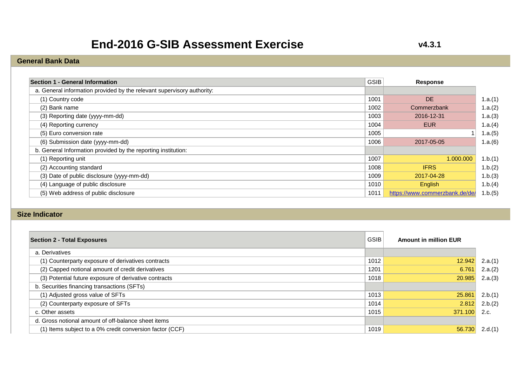# **End-2016 G-SIB Assessment Exercise**

#### **General Bank Data**

| Section 1 - General Information                                        | GSIB | Response                       |         |
|------------------------------------------------------------------------|------|--------------------------------|---------|
| a. General information provided by the relevant supervisory authority: |      |                                |         |
| (1) Country code                                                       | 1001 | <b>DE</b>                      | 1.a.(1) |
| (2) Bank name                                                          | 1002 | Commerzbank                    | 1.a.(2) |
| (3) Reporting date (yyyy-mm-dd)                                        | 1003 | 2016-12-31                     | 1.a.(3) |
| (4) Reporting currency                                                 | 1004 | <b>EUR</b>                     | 1.a.(4) |
| (5) Euro conversion rate                                               | 1005 |                                | 1.a.(5) |
| (6) Submission date (yyyy-mm-dd)                                       | 1006 | 2017-05-05                     | 1.a.(6) |
| b. General Information provided by the reporting institution:          |      |                                |         |
| (1) Reporting unit                                                     | 1007 | 1.000.000                      | 1.b.(1) |
| (2) Accounting standard                                                | 1008 | <b>IFRS</b>                    | 1.b.(2) |
| (3) Date of public disclosure (yyyy-mm-dd)                             | 1009 | 2017-04-28                     | 1.b.(3) |
| (4) Language of public disclosure                                      | 1010 | English                        | 1.b.(4) |
| (5) Web address of public disclosure                                   | 1011 | https://www.commerzbank.de/de/ | 1.b.(5) |

#### **Size Indicator**

| <b>Section 2 - Total Exposures</b>                       | <b>GSIB</b> | <b>Amount in million EUR</b> |         |
|----------------------------------------------------------|-------------|------------------------------|---------|
| a. Derivatives                                           |             |                              |         |
| (1) Counterparty exposure of derivatives contracts       | 1012        | 12.942                       | 2.a.(1) |
| (2) Capped notional amount of credit derivatives         | 1201        | 6.761                        | 2.a.(2) |
| (3) Potential future exposure of derivative contracts    | 1018        | 20.985                       | 2.a.(3) |
| b. Securities financing transactions (SFTs)              |             |                              |         |
| (1) Adjusted gross value of SFTs                         | 1013        | 25.861                       | 2.b.(1) |
| (2) Counterparty exposure of SFTs                        | 1014        | 2.812                        | 2.b.(2) |
| c. Other assets                                          | 1015        | 371.100                      | 2.c.    |
| d. Gross notional amount of off-balance sheet items      |             |                              |         |
| (1) Items subject to a 0% credit conversion factor (CCF) | 1019        | 56.730                       | 2.d.(1) |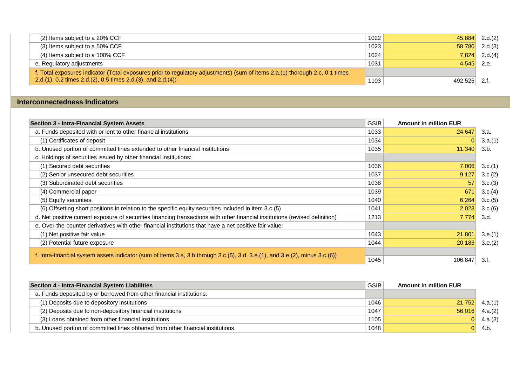| (2) Items subject to a 20% CCF                                                                                               | 1022 | 45.884       | 2.d.(2)          |
|------------------------------------------------------------------------------------------------------------------------------|------|--------------|------------------|
| $(3)$ Items subject to a 50% CCF                                                                                             | 1023 |              | $58.780$ 2.d.(3) |
| (4) Items subject to a 100% CCF                                                                                              | 1024 |              | $7.824$ 2.d.(4)  |
| e. Regulatory adjustments                                                                                                    | 1031 | $4.545$ 2.e. |                  |
| f. Total exposures indicator (Total exposures prior to regulatory adjustments) (sum of items 2.a.(1) thorough 2.c, 0.1 times |      |              |                  |
| 2.d.(1), 0.2 times 2.d.(2), 0.5 times 2.d.(3), and 2.d.(4))                                                                  | 1103 | 492.525      | 2.f              |

#### **Interconnectedness Indicators**

| <b>Section 3 - Intra-Financial System Assets</b>                                                                             | <b>GSIB</b> | <b>Amount in million EUR</b> |         |
|------------------------------------------------------------------------------------------------------------------------------|-------------|------------------------------|---------|
| a. Funds deposited with or lent to other financial institutions                                                              | 1033        | 24.647                       | 3.a.    |
| (1) Certificates of deposit                                                                                                  | 1034        |                              | 3.a.(1) |
| b. Unused portion of committed lines extended to other financial institutions                                                | 1035        | 11.340                       | 3.b.    |
| c. Holdings of securities issued by other financial institutions:                                                            |             |                              |         |
| (1) Secured debt securities                                                                                                  | 1036        | 7.006                        | 3.c.(1) |
| (2) Senior unsecured debt securities                                                                                         | 1037        | 9.127                        | 3.c.(2) |
| (3) Subordinated debt securities                                                                                             | 1038        | 57                           | 3.c.(3) |
| (4) Commercial paper                                                                                                         | 1039        | 671                          | 3.c.(4) |
| (5) Equity securities                                                                                                        | 1040        | 6.264                        | 3.c.(5) |
| (6) Offsetting short positions in relation to the specific equity securities included in item 3.c.(5)                        | 1041        | 2.023                        | 3.c.(6) |
| d. Net positive current exposure of securities financing transactions with other financial institutions (revised definition) | 1213        | 7.774                        | 3.d.    |
| e. Over-the-counter derivatives with other financial institutions that have a net positive fair value:                       |             |                              |         |
| (1) Net positive fair value                                                                                                  | 1043        | 21.801                       | 3.e.(1) |
| (2) Potential future exposure                                                                                                | 1044        | 20.183                       | 3.e.(2) |
|                                                                                                                              |             |                              |         |
| f. Intra-financial system assets indicator (sum of items 3.a, 3.b through 3.c.(5), 3.d, 3.e.(1), and 3.e.(2), minus 3.c.(6)) | 1045        | 106.847                      | 3.f.    |

| Section 4 - Intra-Financial System Liabilities                                  | <b>GSIB</b> | <b>Amount in million EUR</b> |         |
|---------------------------------------------------------------------------------|-------------|------------------------------|---------|
| a. Funds deposited by or borrowed from other financial institutions:            |             |                              |         |
| (1) Deposits due to depository institutions                                     | 1046        | 21.752                       | 4.a.(1) |
| (2) Deposits due to non-depository financial institutions                       | 1047        | 56.016                       | 4.a.(2) |
| (3) Loans obtained from other financial institutions                            | 1105        |                              | 4.a.(3) |
| b. Unused portion of committed lines obtained from other financial institutions | 1048        |                              | 4.b     |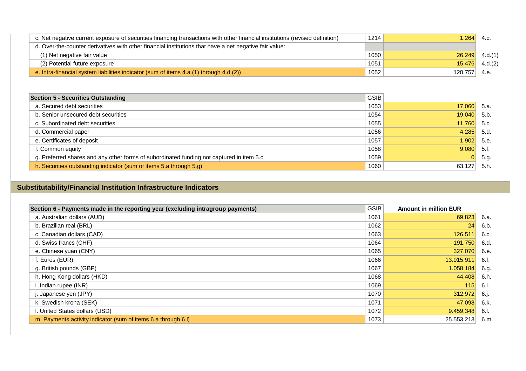| c. Net negative current exposure of securities financing transactions with other financial institutions (revised definition) | 1214 | .264    | 4.C     |
|------------------------------------------------------------------------------------------------------------------------------|------|---------|---------|
| d. Over-the-counter derivatives with other financial institutions that have a net negative fair value:                       |      |         |         |
| (1) Net negative fair value                                                                                                  | 1050 | 26.249  | 4.d.(1) |
| (2) Potential future exposure                                                                                                | 1051 | 15.476  | 4.d.(2) |
| e. Intra-financial system liabilities indicator (sum of items 4.a.(1) through 4.d.(2))                                       | 1052 | 120.757 | 4.e.    |

| <b>Section 5 - Securities Outstanding</b>                                                 | <b>GSIB</b> |        |       |
|-------------------------------------------------------------------------------------------|-------------|--------|-------|
| a. Secured debt securities                                                                | 1053        | 17.060 | -5.а. |
| b. Senior unsecured debt securities                                                       | 1054        | 19.040 | 5.b.  |
| c. Subordinated debt securities                                                           | 1055        | 11.760 | 5.c.  |
| d. Commercial paper                                                                       | 1056        | 4.285  | 5.d.  |
| e. Certificates of deposit                                                                | 1057        | 1.902  | 5.e.  |
| f. Common equity                                                                          | 1058        | 9.080  | 5.f.  |
| g. Preferred shares and any other forms of subordinated funding not captured in item 5.c. | 1059        |        | 5.g.  |
| h. Securities outstanding indicator (sum of items 5.a through 5.g)                        | 1060        | 63.127 | 5.h.  |

### **Substitutability/Financial Institution Infrastructure Indicators**

| <b>GSIB</b> | <b>Amount in million EUR</b> |      |
|-------------|------------------------------|------|
| 1061        | 69.823                       | 6.a. |
| 1062        | 24                           | 6.b. |
| 1063        | 126.511                      | 6.c. |
| 1064        | 191.750                      | 6.d. |
| 1065        | 327.070                      | 6.e. |
| 1066        | 13.915.911                   | 6.f. |
| 1067        | 1.058.184                    | 6.g. |
| 1068        | 44.408                       | 6.h. |
| 1069        | 115                          | 6.i. |
| 1070        | 312.972                      | 6.j. |
| 1071        | 47.098                       | 6.k. |
| 1072        | 9.459.348                    | 6.I. |
| 1073        | 25.553.213                   | 6.m. |
|             |                              |      |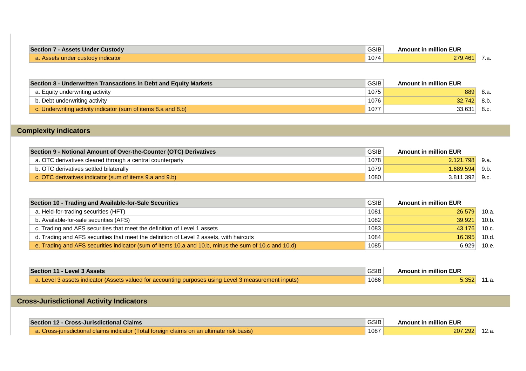| <b>Section 7</b><br>' - Assets Under Custody | <b>GSIB</b> | <b>Amount in million EUR</b> |     |
|----------------------------------------------|-------------|------------------------------|-----|
| a. Assets under custody indicator            | 1074        | 279.461                      | .a. |

| <b>Section 8 - Underwritten Transactions in Debt and Equity Markets</b> | <b>GSIB</b> | <b>Amount in million EUR</b> |        |
|-------------------------------------------------------------------------|-------------|------------------------------|--------|
| a. Equity underwriting activity                                         | 1075        | 889                          | - 8.a. |
| b. Debt underwriting activity                                           | 1076        | 32.742                       | 8.b.   |
| c. Underwriting activity indicator (sum of items 8.a and 8.b)           | 1077        | 33.631                       | 8.c.   |

### **Complexity indicators**

| Section 9 - Notional Amount of Over-the-Counter (OTC) Derivatives | <b>GSIB</b> | <b>Amount in million EUR</b> |      |
|-------------------------------------------------------------------|-------------|------------------------------|------|
| a. OTC derivatives cleared through a central counterparty         | 1078        | 2.121.798                    | 9.a. |
| b. OTC derivatives settled bilaterally                            | 1079        | 1.689.594                    | 9.b. |
| c. OTC derivatives indicator (sum of items 9.a and 9.b)           | 1080        | 3.811.392                    | 9.c. |

| Section 10 - Trading and Available-for-Sale Securities                                               | GSIB | <b>Amount in million EUR</b> |       |
|------------------------------------------------------------------------------------------------------|------|------------------------------|-------|
| a. Held-for-trading securities (HFT)                                                                 | 1081 | 26.579                       | 10.a. |
| b. Available-for-sale securities (AFS)                                                               | 1082 | 39.921                       | 10.b. |
| c. Trading and AFS securities that meet the definition of Level 1 assets                             | 1083 | 43.176                       | 10.c. |
| d. Trading and AFS securities that meet the definition of Level 2 assets, with haircuts              | 1084 | 16.395                       | 10.d. |
| e. Trading and AFS securities indicator (sum of items 10.a and 10.b, minus the sum of 10.c and 10.d) | 1085 | 6.929                        | 10.e. |

| Section 11 - Level 3 Assets                                                                                                | <b>GSIB</b> | <b>Amount in million EUR</b> |  |
|----------------------------------------------------------------------------------------------------------------------------|-------------|------------------------------|--|
| $\sqrt{ }$ a. Level 3 assets indicator (Assets valued for accounting purposes using Level 3 measurement inputs) $\sqrt{ }$ | 1086        | $5.352$ 11.a.                |  |

## **Cross-Jurisdictional Activity Indicators**

| <b>Section 12 - Cross-Jurisdictional Claims</b>                                           | GSIB | <b>Amount in million EUR</b> |  |
|-------------------------------------------------------------------------------------------|------|------------------------------|--|
| a. Cross-jurisdictional claims indicator (Total foreign claims on an ultimate risk basis) | 1087 | 207.292                      |  |